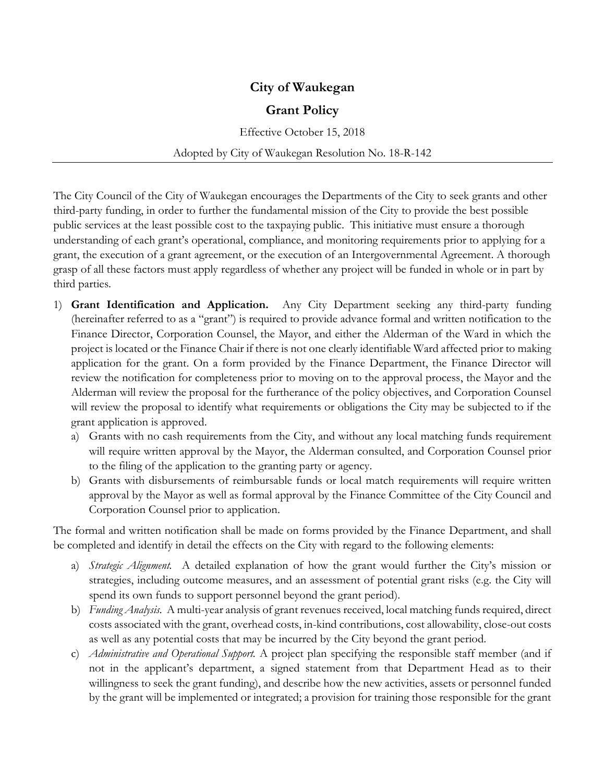## **City of Waukegan**

## **Grant Policy**

Effective October 15, 2018

Adopted by City of Waukegan Resolution No. 18-R-142

The City Council of the City of Waukegan encourages the Departments of the City to seek grants and other third-party funding, in order to further the fundamental mission of the City to provide the best possible public services at the least possible cost to the taxpaying public. This initiative must ensure a thorough understanding of each grant's operational, compliance, and monitoring requirements prior to applying for a grant, the execution of a grant agreement, or the execution of an Intergovernmental Agreement. A thorough grasp of all these factors must apply regardless of whether any project will be funded in whole or in part by third parties.

- 1) **Grant Identification and Application.** Any City Department seeking any third-party funding (hereinafter referred to as a "grant") is required to provide advance formal and written notification to the Finance Director, Corporation Counsel, the Mayor, and either the Alderman of the Ward in which the project is located or the Finance Chair if there is not one clearly identifiable Ward affected prior to making application for the grant. On a form provided by the Finance Department, the Finance Director will review the notification for completeness prior to moving on to the approval process, the Mayor and the Alderman will review the proposal for the furtherance of the policy objectives, and Corporation Counsel will review the proposal to identify what requirements or obligations the City may be subjected to if the grant application is approved.
	- a) Grants with no cash requirements from the City, and without any local matching funds requirement will require written approval by the Mayor, the Alderman consulted, and Corporation Counsel prior to the filing of the application to the granting party or agency.
	- b) Grants with disbursements of reimbursable funds or local match requirements will require written approval by the Mayor as well as formal approval by the Finance Committee of the City Council and Corporation Counsel prior to application.

The formal and written notification shall be made on forms provided by the Finance Department, and shall be completed and identify in detail the effects on the City with regard to the following elements:

- a) *Strategic Alignment.* A detailed explanation of how the grant would further the City's mission or strategies, including outcome measures, and an assessment of potential grant risks (e.g. the City will spend its own funds to support personnel beyond the grant period).
- b) *Funding Analysis.* A multi-year analysis of grant revenues received, local matching funds required, direct costs associated with the grant, overhead costs, in-kind contributions, cost allowability, close-out costs as well as any potential costs that may be incurred by the City beyond the grant period.
- c) *Administrative and Operational Support.* A project plan specifying the responsible staff member (and if not in the applicant's department, a signed statement from that Department Head as to their willingness to seek the grant funding), and describe how the new activities, assets or personnel funded by the grant will be implemented or integrated; a provision for training those responsible for the grant